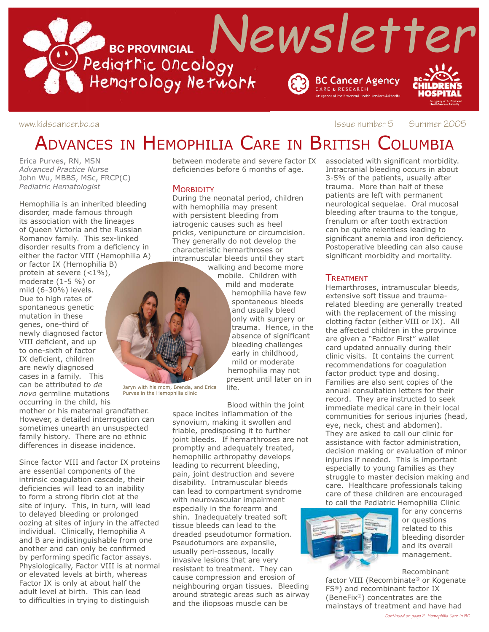

www.kidscancer.bc.ca **Issue number 5** Summer 2005

# ADVANCES IN HEMOPHILIA CARE IN BRITISH COLUMBIA

Erica Purves, RN, MSN *Advanced Practice Nurse* John Wu, MBBS, MSc, FRCP(C) *Pediatric Hematologist*

Hemophilia is an inherited bleeding disorder, made famous through its association with the lineages of Queen Victoria and the Russian Romanov family. This sex-linked disorder results from a deficiency in either the factor VIII (Hemophilia A)

or factor IX (Hemophilia B) protein at severe (<1%), moderate (1-5 %) or mild (6-30%) levels. Due to high rates of spontaneous genetic mutation in these genes, one-third of newly diagnosed factor VIII deficient, and up to one-sixth of factor IX deficient, children are newly diagnosed cases in a family. This can be attributed to *de novo* germline mutations occurring in the child, his

mother or his maternal grandfather. However, a detailed interrogation can sometimes unearth an unsuspected family history. There are no ethnic differences in disease incidence.

Since factor VIII and factor IX proteins are essential components of the intrinsic coagulation cascade, their deficiencies will lead to an inability to form a strong fibrin clot at the site of injury. This, in turn, will lead to delayed bleeding or prolonged oozing at sites of injury in the affected individual. Clinically, Hemophilia A and B are indistinguishable from one another and can only be confirmed by performing specific factor assays. Physiologically, Factor VIII is at normal or elevated levels at birth, whereas Factor IX is only at about half the adult level at birth. This can lead to difficulties in trying to distinguish

between moderate and severe factor IX deficiencies before 6 months of age.

#### **MORBIDITY**

During the neonatal period, children with hemophilia may present with persistent bleeding from iatrogenic causes such as heel pricks, venipuncture or circumcision. They generally do not develop the characteristic hemarthroses or intramuscular bleeds until they start walking and become more

mobile. Children with mild and moderate hemophilia have few spontaneous bleeds and usually bleed only with surgery or trauma. Hence, in the absence of significant bleeding challenges early in childhood, mild or moderate hemophilia may not present until later on in

Jaryn with his mom, Brenda, and Erica Purves in the Hemophilia clinic

Blood within the joint space incites inflammation of the synovium, making it swollen and friable, predisposing it to further joint bleeds. If hemarthroses are not promptly and adequately treated, hemophilic arthropathy develops leading to recurrent bleeding, pain, joint destruction and severe disability. Intramuscular bleeds can lead to compartment syndrome with neurovascular impairment especially in the forearm and shin. Inadequately treated soft tissue bleeds can lead to the dreaded pseudotumor formation. Pseudotumors are expansile, usually peri-osseous, locally invasive lesions that are very resistant to treatment. They can cause compression and erosion of neighbouring organ tissues. Bleeding around strategic areas such as airway and the iliopsoas muscle can be

life.

associated with significant morbidity. Intracranial bleeding occurs in about 3-5% of the patients, usually after trauma. More than half of these patients are left with permanent neurological sequelae. Oral mucosal bleeding after trauma to the tongue, frenulum or after tooth extraction can be quite relentless leading to significant anemia and iron deficiency. Postoperative bleeding can also cause significant morbidity and mortality.

#### TREATMENT

Hemarthroses, intramuscular bleeds, extensive soft tissue and traumarelated bleeding are generally treated with the replacement of the missing clotting factor (either VIII or IX). All the affected children in the province are given a "Factor First" wallet card updated annually during their clinic visits. It contains the current recommendations for coagulation factor product type and dosing. Families are also sent copies of the annual consultation letters for their record. They are instructed to seek immediate medical care in their local communities for serious injuries (head, eye, neck, chest and abdomen). They are asked to call our clinic for assistance with factor administration, decision making or evaluation of minor injuries if needed. This is important especially to young families as they struggle to master decision making and care. Healthcare professionals taking care of these children are encouraged to call the Pediatric Hemophilia Clinic



for any concerns or questions related to this bleeding disorder and its overall management.

Recombinant

factor VIII (Recombinate® or Kogenate FS®) and recombinant factor IX (BeneFix®) concentrates are the mainstays of treatment and have had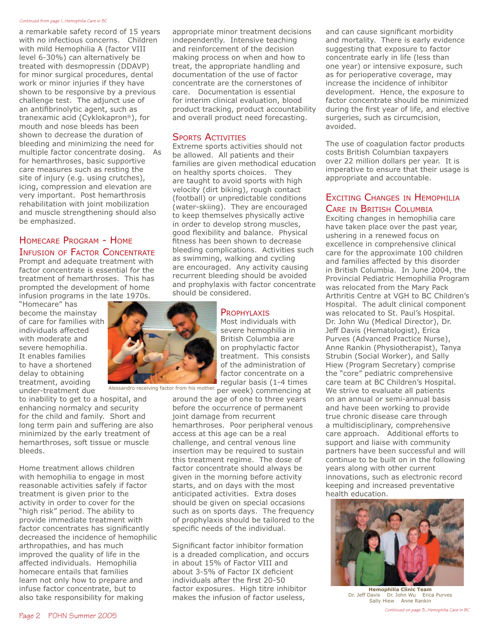#### *Continued from page 1...Hemophilia Care in BC*

a remarkable safety record of 15 years with no infectious concerns. Children with mild Hemophilia A (factor VIII level 6-30%) can alternatively be treated with desmopressin (DDAVP) for minor surgical procedures, dental work or minor injuries if they have shown to be responsive by a previous challenge test. The adjunct use of an antifibrinolytic agent, such as tranexamic acid (Cyklokapron®), for mouth and nose bleeds has been shown to decrease the duration of bleeding and minimizing the need for multiple factor concentrate dosing. As for hemarthroses, basic supportive care measures such as resting the site of injury (e.g. using crutches), icing, compression and elevation are very important. Post hemarthrosis rehabilitation with joint mobilization and muscle strengthening should also be emphasized.

### HOMECARE PROGRAM - HOME INFUSION OF FACTOR CONCENTRATE

Prompt and adequate treatment with factor concentrate is essential for the treatment of hemarthroses. This has prompted the development of home infusion programs in the late 1970s.

"Homecare" has become the mainstay of care for families with individuals affected with moderate and severe hemophilia. It enables families to have a shortened delay to obtaining treatment, avoiding under-treatment due

to inability to get to a hospital, and enhancing normalcy and security for the child and family. Short and long term pain and suffering are also minimized by the early treatment of hemarthroses, soft tissue or muscle bleeds.

Home treatment allows children with hemophilia to engage in most reasonable activities safely if factor treatment is given prior to the activity in order to cover for the "high risk" period. The ability to provide immediate treatment with factor concentrates has significantly decreased the incidence of hemophilic arthropathies, and has much improved the quality of life in the affected individuals. Hemophilia homecare entails that families learn not only how to prepare and infuse factor concentrate, but to also take responsibility for making

appropriate minor treatment decisions independently. Intensive teaching and reinforcement of the decision making process on when and how to treat, the appropriate handling and documentation of the use of factor concentrate are the cornerstones of care. Documentation is essential for interim clinical evaluation, blood product tracking, product accountability and overall product need forecasting.

#### SPORTS ACTIVITIES

Extreme sports activities should not be allowed. All patients and their families are given methodical education on healthy sports choices. They are taught to avoid sports with high velocity (dirt biking), rough contact (football) or unpredictable conditions (water-skiing). They are encouraged to keep themselves physically active in order to develop strong muscles, good flexibility and balance. Physical fitness has been shown to decrease bleeding complications. Activities such as swimming, walking and cycling are encouraged. Any activity causing recurrent bleeding should be avoided and prophylaxis with factor concentrate should be considered.

### **PROPHYLAXIS**

Most individuals with severe hemophilia in British Columbia are on prophylactic factor treatment. This consists of the administration of factor concentrate on a regular basis (1-4 times

Alessandro receiving factor from his mother. per week) commencing at

around the age of one to three years before the occurrence of permanent joint damage from recurrent hemarthroses. Poor peripheral venous access at this age can be a real challenge, and central venous line insertion may be required to sustain this treatment regime. The dose of factor concentrate should always be given in the morning before activity starts, and on days with the most anticipated activities. Extra doses should be given on special occasions such as on sports days. The frequency of prophylaxis should be tailored to the specific needs of the individual.

Significant factor inhibitor formation is a dreaded complication, and occurs in about 15% of Factor VIII and about 3-5% of Factor IX deficient individuals after the first 20-50 factor exposures. High titre inhibitor makes the infusion of factor useless,

and can cause significant morbidity and mortality. There is early evidence suggesting that exposure to factor concentrate early in life (less than one year) or intensive exposure, such as for perioperative coverage, may increase the incidence of inhibitor development. Hence, the exposure to factor concentrate should be minimized during the first year of life, and elective surgeries, such as circumcision, avoided.

The use of coagulation factor products costs British Columbian taxpayers over 22 million dollars per year. It is imperative to ensure that their usage is appropriate and accountable.

## EXCITING CHANGES IN HEMOPHILIA CARE IN BRITISH COLUMBIA<br>Exciting changes in hemophilia care

have taken place over the past year, ushering in a renewed focus on excellence in comprehensive clinical care for the approximate 100 children and families affected by this disorder in British Columbia. In June 2004, the Provincial Pediatric Hemophilia Program was relocated from the Mary Pack Arthritis Centre at VGH to BC Children's Hospital. The adult clinical component was relocated to St. Paul's Hospital. Dr. John Wu (Medical Director), Dr. Jeff Davis (Hematologist), Erica Purves (Advanced Practice Nurse), Anne Rankin (Physiotherapist), Tanya Strubin (Social Worker), and Sally Hiew (Program Secretary) comprise the "core" pediatric comprehensive care team at BC Children's Hospital. We strive to evaluate all patients on an annual or semi-annual basis and have been working to provide true chronic disease care through a multidisciplinary, comprehensive care approach. Additional efforts to support and liaise with community partners have been successful and will continue to be built on in the following years along with other current innovations, such as electronic record keeping and increased preventative health education.



**Hemophilia Clinic Team** Dr. Jeff Davis Dr. John Wu Erica Purves Sally Hiew Anne Rankin

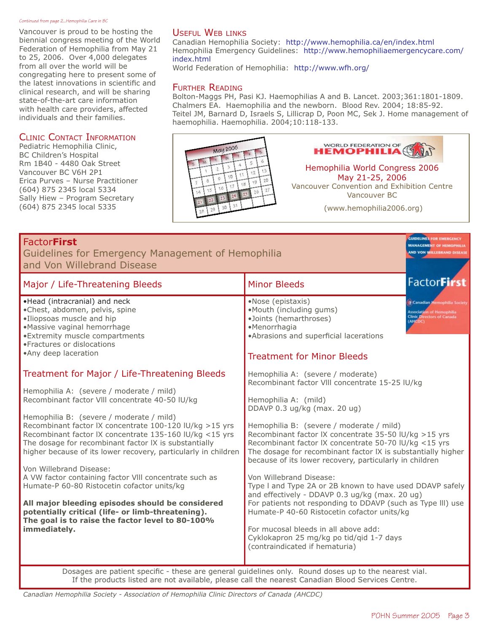#### *Continued from page 2...Hemophilia Care in BC*

Vancouver is proud to be hosting the biennial congress meeting of the World Federation of Hemophilia from May 21 to 25, 2006. Over 4,000 delegates from all over the world will be congregating here to present some of the latest innovations in scientific and clinical research, and will be sharing state-of-the-art care information with health care providers, affected individuals and their families.

#### CLINIC CONTACT INFORMATION

Pediatric Hemophilia Clinic, BC Children's Hospital Rm 1B40 - 4480 Oak Street Vancouver BC V6H 2P1 Erica Purves – Nurse Practitioner (604) 875 2345 local 5334 Sally Hiew – Program Secretary (604) 875 2345 local 5335

### USEFUL WEB LINKS

Canadian Hemophilia Society: http://www.hemophilia.ca/en/index.html Hemophilia Emergency Guidelines: http://www.hemophiliaemergencycare.com/ index.html

World Federation of Hemophilia: http://www.wfh.org/

#### FURTHER READING

Bolton-Maggs PH, Pasi KJ. Haemophilias A and B. Lancet. 2003;361:1801-1809. Chalmers EA. Haemophilia and the newborn. Blood Rev. 2004; 18:85-92. Teitel JM, Barnard D, Israels S, Lillicrap D, Poon MC, Sek J. Home management of haemophilia. Haemophilia. 2004;10:118-133.



**WORLD FEDERATION OF** HEMOPHILIA

Hemophilia World Congress 2006 May 21-25, 2006 Vancouver Convention and Exhibition Centre Vancouver BC

(www.hemophilia2006.org)

| <b>FactorFirst</b><br>Guidelines for Emergency Management of Hemophilia<br>and Von Willebrand Disease                                                                                                                                                                                                                                                                                                                                                                                                                                                                                                                                                                                                                                                                                                                                                                                                                                                                                                                                                                                        |                                                                                                                                                                                                                                                                                                                                                                                                                                                                                                                                                                                                                                                                                                                                                                                                                                                                                                                                                                                             | <b>GUIDELINES FOR EMERGENCY</b><br><b>MANAGEMENT OF HE</b><br><b>IND VON WILLEBRAND</b>                                |
|----------------------------------------------------------------------------------------------------------------------------------------------------------------------------------------------------------------------------------------------------------------------------------------------------------------------------------------------------------------------------------------------------------------------------------------------------------------------------------------------------------------------------------------------------------------------------------------------------------------------------------------------------------------------------------------------------------------------------------------------------------------------------------------------------------------------------------------------------------------------------------------------------------------------------------------------------------------------------------------------------------------------------------------------------------------------------------------------|---------------------------------------------------------------------------------------------------------------------------------------------------------------------------------------------------------------------------------------------------------------------------------------------------------------------------------------------------------------------------------------------------------------------------------------------------------------------------------------------------------------------------------------------------------------------------------------------------------------------------------------------------------------------------------------------------------------------------------------------------------------------------------------------------------------------------------------------------------------------------------------------------------------------------------------------------------------------------------------------|------------------------------------------------------------------------------------------------------------------------|
| Major / Life-Threatening Bleeds                                                                                                                                                                                                                                                                                                                                                                                                                                                                                                                                                                                                                                                                                                                                                                                                                                                                                                                                                                                                                                                              | <b>Minor Bleeds</b>                                                                                                                                                                                                                                                                                                                                                                                                                                                                                                                                                                                                                                                                                                                                                                                                                                                                                                                                                                         | <b>FactorFirst</b>                                                                                                     |
| •Head (intracranial) and neck<br>·Chest, abdomen, pelvis, spine<br>·Iliopsoas muscle and hip<br>•Massive vaginal hemorrhage<br>• Extremity muscle compartments<br>• Fractures or dislocations<br>•Any deep laceration<br>Treatment for Major / Life-Threatening Bleeds<br>Hemophilia A: (severe / moderate / mild)<br>Recombinant factor VIII concentrate 40-50 IU/kg<br>Hemophilia B: (severe / moderate / mild)<br>Recombinant factor IX concentrate 100-120 IU/kg >15 yrs<br>Recombinant factor IX concentrate 135-160 IU/kg <15 yrs<br>The dosage for recombinant factor IX is substantially<br>higher because of its lower recovery, particularly in children<br>Von Willebrand Disease:<br>A VW factor containing factor VIII concentrate such as<br>Humate-P 60-80 Ristocetin cofactor units/kg<br>All major bleeding episodes should be considered<br>potentially critical (life- or limb-threatening).<br>The goal is to raise the factor level to 80-100%<br>immediately.<br>Dosages are patient specific - these are general guidelines only. Round doses up to the nearest vial. | •Nose (epistaxis)<br>•Mouth (including gums)<br>·Joints (hemarthroses)<br>•Menorrhagia<br>•Abrasions and superficial lacerations<br><b>Treatment for Minor Bleeds</b><br>Hemophilia A: (severe / moderate)<br>Recombinant factor VIII concentrate 15-25 IU/kg<br>Hemophilia A: (mild)<br>DDAVP 0.3 ug/kg (max. 20 ug)<br>Hemophilia B: (severe / moderate / mild)<br>Recombinant factor IX concentrate 35-50 IU/kg >15 yrs<br>Recombinant factor IX concentrate 50-70 IU/kg <15 yrs<br>The dosage for recombinant factor IX is substantially higher<br>because of its lower recovery, particularly in children<br>Von Willebrand Disease:<br>Type I and Type 2A or 2B known to have used DDAVP safely<br>and effectively - DDAVP 0.3 ug/kg (max. 20 ug)<br>For patients not responding to DDAVP (such as Type III) use<br>Humate-P 40-60 Ristocetin cofactor units/kg<br>For mucosal bleeds in all above add:<br>Cyklokapron 25 mg/kg po tid/qid 1-7 days<br>(contraindicated if hematuria) | <b>Canadian Hemophilia Society</b><br><b>Association of Hemophilia</b><br><b>Clinic Directors of Canada</b><br>(AHCDC) |
|                                                                                                                                                                                                                                                                                                                                                                                                                                                                                                                                                                                                                                                                                                                                                                                                                                                                                                                                                                                                                                                                                              |                                                                                                                                                                                                                                                                                                                                                                                                                                                                                                                                                                                                                                                                                                                                                                                                                                                                                                                                                                                             |                                                                                                                        |

If the products listed are not available, please call the nearest Canadian Blood Services Centre.

*Canadian Hemophilia Society - Association of Hemophilia Clinic Directors of Canada (AHCDC)*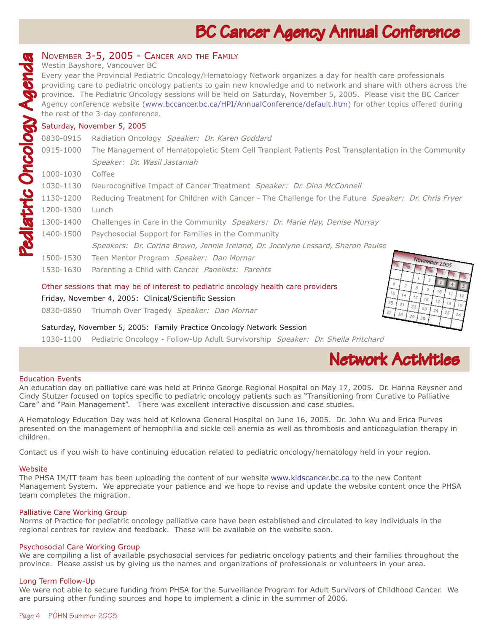# **BC Cancer Agency Annual Conference**

a day for health care professionals

| <b>INOVEMBER 3-3, ZUUS - CANCER AND THE FAMILY</b>                                  |
|-------------------------------------------------------------------------------------|
| Westin Bayshore, Vancouver BC                                                       |
| Every year the Provincial Pediatric Oncology/Hematology Network organizes           |
| <b>I</b> providing care to pediatric oncology patients to gain new knowledge and to |

c oncology patients to gain new knowledge and to network and share with others across the province. The Pediatric Oncology sessions will be held on Saturday, November 5, 2005. Please visit the BC Cancer Agency conference website (www.bccancer.bc.ca/HPI/AnnualConference/default.htm) for other topics offered during the rest of the 3-day conference.

### Saturday, November 5, 2005

NOVEMBER 3-5, 2005 - CANCER AND THE FAMILY<br>
Westin Bayshore, Vancouver BC<br>
Every year the Provincial Pediatric Oncology/Hematolo<br>
providing care to pediatric oncology patients to gain no<br>
province. The Pediatric Oncology s 0830-0915 Radiation Oncology Speaker: Dr. Karen Goddard 0915-1000 The Management of Hematopoietic Stem Cell Tranplant Patients Post Transplantation in the Community Speaker: Dr. Wasil Jastaniah 1000-1030 Coffee 1030-1130 Neurocognitive Impact of Cancer Treatment Speaker: Dr. Dina McConnell 1130-1200 Reducing Treatment for Children with Cancer - The Challenge for the Future Speaker: Dr. Chris Fryer 1200-1300 Lunch 1300-1400 Challenges in Care in the Community Speakers: Dr. Marie Hay, Denise Murray 1400-1500 Psychosocial Support for Families in the Community Speakers: Dr. Corina Brown, Jennie Ireland, Dr. Jocelyne Lessard, Sharon Paulse November 2005 1500-1530 Teen Mentor Program Speaker: Dan Mornar 1530-1630 Parenting a Child with Cancer Panelists: Parents

#### Other sessions that may be of interest to pediatric oncology health care providers

#### Friday, November 4, 2005: Clinical/Scientific Session

0830-0850 Triumph Over Tragedy *Speaker: Dan Mornar*

Saturday, November 5, 2005: Family Practice Oncology Network Session

1030-1100 Pediatric Oncology - Follow-Up Adult Survivorship Speaker: Dr. Sheila Pritchard



 $\overline{1}$ 

#### Education Events

An education day on palliative care was held at Prince George Regional Hospital on May 17, 2005. Dr. Hanna Reysner and Cindy Stutzer focused on topics specific to pediatric oncology patients such as "Transitioning from Curative to Palliative Care" and "Pain Management". There was excellent interactive discussion and case studies.

A Hematology Education Day was held at Kelowna General Hospital on June 16, 2005. Dr. John Wu and Erica Purves presented on the management of hemophilia and sickle cell anemia as well as thrombosis and anticoagulation therapy in children.

Contact us if you wish to have continuing education related to pediatric oncology/hematology held in your region.

#### **Website**

The PHSA IM/IT team has been uploading the content of our website www.kidscancer.bc.ca to the new Content Management System. We appreciate your patience and we hope to revise and update the website content once the PHSA team completes the migration.

#### Palliative Care Working Group

Norms of Practice for pediatric oncology palliative care have been established and circulated to key individuals in the regional centres for review and feedback. These will be available on the website soon.

#### Psychosocial Care Working Group

We are compiling a list of available psychosocial services for pediatric oncology patients and their families throughout the province. Please assist us by giving us the names and organizations of professionals or volunteers in your area.

#### Long Term Follow-Up

We were not able to secure funding from PHSA for the Surveillance Program for Adult Survivors of Childhood Cancer. We are pursuing other funding sources and hope to implement a clinic in the summer of 2006.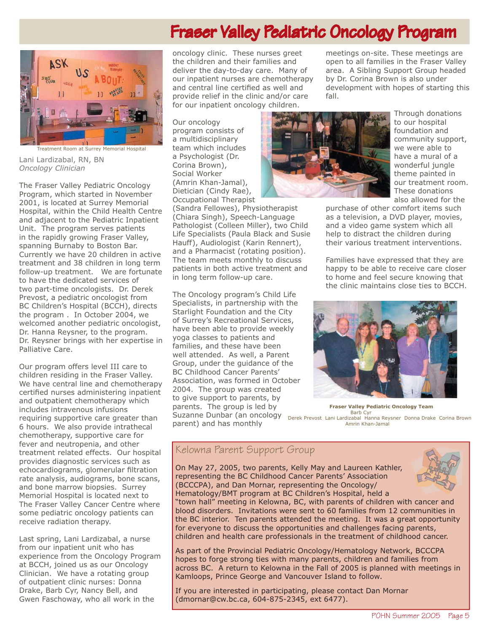# Fraser Valley Pediatric Oncology Program



Lani Lardizabal, RN, BN *Oncology Clinician*

The Fraser Valley Pediatric Oncology Program, which started in November 2001, is located at Surrey Memorial Hospital, within the Child Health Centre and adjacent to the Pediatric Inpatient Unit. The program serves patients in the rapidly growing Fraser Valley, spanning Burnaby to Boston Bar. Currently we have 20 children in active treatment and 38 children in long term follow-up treatment. We are fortunate to have the dedicated services of two part-time oncologists. Dr. Derek Prevost, a pediatric oncologist from BC Children's Hospital (BCCH), directs the program . In October 2004, we welcomed another pediatric oncologist, Dr. Hanna Reysner, to the program. Dr. Reysner brings with her expertise in Palliative Care.

Our program offers level III care to children residing in the Fraser Valley. We have central line and chemotherapy certified nurses administering inpatient and outpatient chemotherapy which includes intravenous infusions requiring supportive care greater than 6 hours. We also provide intrathecal chemotherapy, supportive care for fever and neutropenia, and other treatment related effects. Our hospital provides diagnostic services such as echocardiograms, glomerular filtration rate analysis, audiograms, bone scans, and bone marrow biopsies. Surrey Memorial Hospital is located next to The Fraser Valley Cancer Centre where some pediatric oncology patients can receive radiation therapy.

Last spring, Lani Lardizabal, a nurse from our inpatient unit who has experience from the Oncology Program at BCCH, joined us as our Oncology Clinician. We have a rotating group of outpatient clinic nurses: Donna Drake, Barb Cyr, Nancy Bell, and Gwen Faschoway, who all work in the

oncology clinic. These nurses greet the children and their families and deliver the day-to-day care. Many of our inpatient nurses are chemotherapy and central line certified as well and provide relief in the clinic and/or care for our inpatient oncology children.

Our oncology program consists of a multidisciplinary team which includes a Psychologist (Dr. Corina Brown), Social Worker (Amrin Khan-Jamal), Dietician (Cindy Rae), Occupational Therapist

(Sandra Fellowes), Physiotherapist (Chiara Singh), Speech-Language Pathologist (Colleen Miller), two Child Life Specialists (Paula Black and Susie Hauff), Audiologist (Karin Rennert), and a Pharmacist (rotating position). The team meets monthly to discuss patients in both active treatment and in long term follow-up care.

The Oncology program's Child Life Specialists, in partnership with the Starlight Foundation and the City of Surrey's Recreational Services, have been able to provide weekly yoga classes to patients and families, and these have been well attended. As well, a Parent Group, under the guidance of the BC Childhood Cancer Parents' Association, was formed in October 2004. The group was created to give support to parents, by parents. The group is led by Suzanne Dunbar (an oncology parent) and has monthly



fall.

Through donations to our hospital foundation and community support, we were able to have a mural of a wonderful jungle theme painted in our treatment room. These donations also allowed for the

purchase of other comfort items such as a television, a DVD player, movies, and a video game system which all help to distract the children during their various treatment interventions.

meetings on-site. These meetings are open to all families in the Fraser Valley area. A Sibling Support Group headed by Dr. Corina Brown is also under development with hopes of starting this

Families have expressed that they are happy to be able to receive care closer to home and feel secure knowing that the clinic maintains close ties to BCCH.



**Fraser Valley Pediatric Oncology Team** Barb Cyr<br>Derek Prevost Lani Lardizabal Hanna Reysner Donna Drake Corina Brown<br>Amrin Khan-Jamal

## Kelowna Parent Support Group

On May 27, 2005, two parents, Kelly May and Laureen Kathler, representing the BC Childhood Cancer Parents' Association (BCCCPA), and Dan Mornar, representing the Oncology/ Hematology/BMT program at BC Children's Hospital, held a



"town hall" meeting in Kelowna, BC, with parents of children with cancer and blood disorders. Invitations were sent to 60 families from 12 communities in the BC interior. Ten parents attended the meeting. It was a great opportunity for everyone to discuss the opportunities and challenges facing parents, children and health care professionals in the treatment of childhood cancer.

As part of the Provincial Pediatric Oncology/Hematology Network, BCCCPA hopes to forge strong ties with many parents, children and families from across BC. A return to Kelowna in the Fall of 2005 is planned with meetings in Kamloops, Prince George and Vancouver Island to follow.

If you are interested in participating, please contact Dan Mornar (dmornar@cw.bc.ca, 604-875-2345, ext 6477).